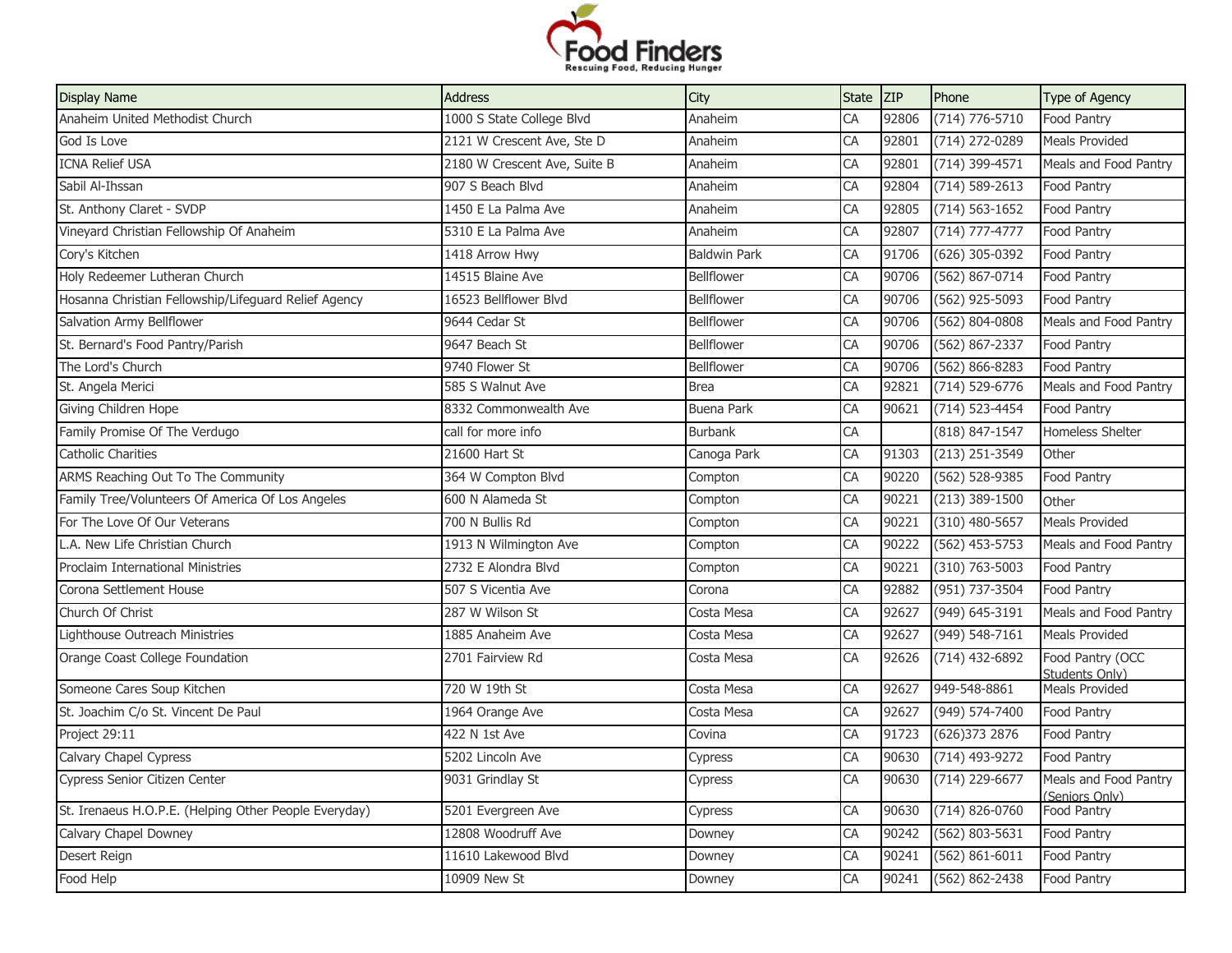

| <b>Display Name</b>                                   | <b>Address</b>               | City                | <b>State</b> | <b>ZIP</b> | Phone              | Type of Agency                          |
|-------------------------------------------------------|------------------------------|---------------------|--------------|------------|--------------------|-----------------------------------------|
| Anaheim United Methodist Church                       | 1000 S State College Blvd    | Anaheim             | CA           | 92806      | (714) 776-5710     | Food Pantry                             |
| God Is Love                                           | 2121 W Crescent Ave, Ste D   | Anaheim             | CA           | 92801      | (714) 272-0289     | <b>Meals Provided</b>                   |
| <b>ICNA Relief USA</b>                                | 2180 W Crescent Ave, Suite B | Anaheim             | CA           | 92801      | (714) 399-4571     | Meals and Food Pantry                   |
| Sabil Al-Ihssan                                       | 907 S Beach Blvd             | Anaheim             | CA           | 92804      | $(714) 589 - 2613$ | Food Pantry                             |
| St. Anthony Claret - SVDP                             | 1450 E La Palma Ave          | Anaheim             | CA           | 92805      | $(714) 563 - 1652$ | Food Pantry                             |
| Vineyard Christian Fellowship Of Anaheim              | 5310 E La Palma Ave          | Anaheim             | CA           | 92807      | $(714) 777 - 4777$ | Food Pantry                             |
| Cory's Kitchen                                        | 1418 Arrow Hwy               | <b>Baldwin Park</b> | CA           | 91706      | $(626)$ 305-0392   | Food Pantry                             |
| Holy Redeemer Lutheran Church                         | 14515 Blaine Ave             | <b>Bellflower</b>   | CA           | 90706      | $(562) 867 - 0714$ | Food Pantry                             |
| Hosanna Christian Fellowship/Lifeguard Relief Agency  | 16523 Bellflower Blvd        | Bellflower          | CA           | 90706      | (562) 925-5093     | Food Pantry                             |
| Salvation Army Bellflower                             | 9644 Cedar St                | <b>Bellflower</b>   | CA           | 90706      | (562) 804-0808     | Meals and Food Pantry                   |
| St. Bernard's Food Pantry/Parish                      | 9647 Beach St                | Bellflower          | CA           | 90706      | (562) 867-2337     | Food Pantry                             |
| The Lord's Church                                     | 9740 Flower St               | Bellflower          | CA           | 90706      | $(562) 866 - 8283$ | Food Pantry                             |
| St. Angela Merici                                     | 585 S Walnut Ave             | <b>Brea</b>         | CA           | 92821      | (714) 529-6776     | Meals and Food Pantry                   |
| Giving Children Hope                                  | 8332 Commonwealth Ave        | Buena Park          | CA           | 90621      | (714) 523-4454     | Food Pantry                             |
| Family Promise Of The Verdugo                         | call for more info           | <b>Burbank</b>      | CA           |            | (818) 847-1547     | <b>Homeless Shelter</b>                 |
| Catholic Charities                                    | 21600 Hart St                | Canoga Park         | CA           | 91303      | $(213)$ 251-3549   | Other                                   |
| ARMS Reaching Out To The Community                    | 364 W Compton Blvd           | Compton             | CA           | 90220      | (562) 528-9385     | Food Pantry                             |
| Family Tree/Volunteers Of America Of Los Angeles      | 600 N Alameda St             | Compton             | CA           | 90221      | $(213)$ 389-1500   | Other                                   |
| For The Love Of Our Veterans                          | 700 N Bullis Rd              | Compton             | CA           | 90221      | $(310)$ 480-5657   | <b>Meals Provided</b>                   |
| A. New Life Christian Church                          | 1913 N Wilmington Ave        | Compton             | CA           | 90222      | $(562)$ 453-5753   | Meals and Food Pantry                   |
| <b>Proclaim International Ministries</b>              | 2732 E Alondra Blvd          | Compton             | CA           | 90221      | $(310) 763 - 5003$ | Food Pantry                             |
| Corona Settlement House                               | 507 S Vicentia Ave           | Corona              | CA           | 92882      | (951) 737-3504     | Food Pantry                             |
| Church Of Christ                                      | 287 W Wilson St              | Costa Mesa          | CA           | 92627      | (949) 645-3191     | Meals and Food Pantry                   |
| Lighthouse Outreach Ministries                        | 1885 Anaheim Ave             | Costa Mesa          | CA           | 92627      | (949) 548-7161     | <b>Meals Provided</b>                   |
| Orange Coast College Foundation                       | 2701 Fairview Rd             | Costa Mesa          | CA           | 92626      | $(714)$ 432-6892   | Food Pantry (OCC<br>Students Only)      |
| Someone Cares Soup Kitchen                            | 720 W 19th St                | Costa Mesa          | CA           | 92627      | 949-548-8861       | <b>Meals Provided</b>                   |
| St. Joachim C/o St. Vincent De Paul                   | 1964 Orange Ave              | Costa Mesa          | CA           | 92627      | (949) 574-7400     | Food Pantry                             |
| Project 29:11                                         | 422 N 1st Ave                | Covina              | CA           | 91723      | (626) 373 2876     | Food Pantry                             |
| Calvary Chapel Cypress                                | 5202 Lincoln Ave             | Cypress             | CA           | 90630      | (714) 493-9272     | Food Pantry                             |
| Cypress Senior Citizen Center                         | 9031 Grindlay St             | Cypress             | CA           | 90630      | (714) 229-6677     | Meals and Food Pantry<br>(Seniors Only) |
| St. Irenaeus H.O.P.E. (Helping Other People Everyday) | 5201 Evergreen Ave           | Cypress             | CA           | 90630      | $(714) 826 - 0760$ | Food Pantry                             |
| Calvary Chapel Downey                                 | 12808 Woodruff Ave           | Downey              | CA           | 90242      | (562) 803-5631     | Food Pantry                             |
| Desert Reign                                          | 11610 Lakewood Blvd          | Downey              | CA           | 90241      | $(562) 861 - 6011$ | Food Pantry                             |
| Food Help                                             | 10909 New St                 | Downey              | CA           | 90241      | $(562) 862 - 2438$ | Food Pantry                             |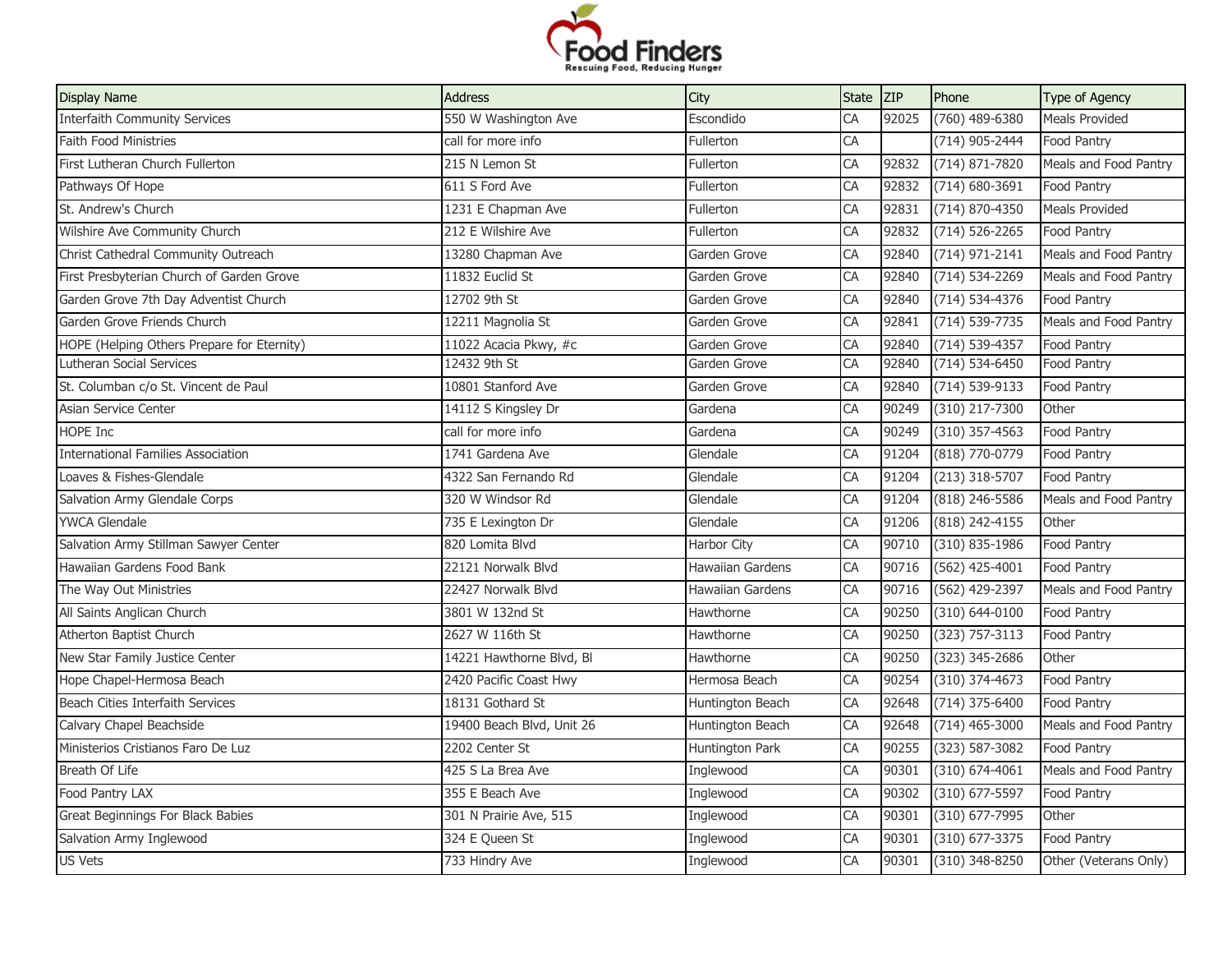

| (760) 489-6380<br><b>Interfaith Community Services</b><br>550 W Washington Ave<br>Escondido<br>CA<br><b>Meals Provided</b><br>92025<br>Faith Food Ministries<br>call for more info<br>CA<br>$(714)$ 905-2444<br>Fullerton<br>Food Pantry<br>First Lutheran Church Fullerton<br>215 N Lemon St<br>Fullerton<br>CA<br>$(714) 871 - 7820$<br>Meals and Food Pantry<br>92832<br>$(714)$ 680-3691<br>Pathways Of Hope<br>611 S Ford Ave<br>CA<br>92832<br>Food Pantry<br>Fullerton<br>St. Andrew's Church<br>1231 E Chapman Ave<br>CA<br>92831<br>$(714) 870 - 4350$<br><b>Meals Provided</b><br>Fullerton<br>CA<br>Wilshire Ave Community Church<br>212 E Wilshire Ave<br>92832<br>$(714) 526 - 2265$<br>Food Pantry<br>Fullerton<br>Christ Cathedral Community Outreach<br>13280 Chapman Ave<br>CA<br>92840<br>(714) 971-2141<br>Meals and Food Pantry<br>Garden Grove<br>First Presbyterian Church of Garden Grove<br>11832 Euclid St<br>CA<br>92840<br>(714) 534-2269<br>Meals and Food Pantry<br>Garden Grove<br>Garden Grove 7th Day Adventist Church<br>12702 9th St<br>Garden Grove<br>CA<br>92840<br>(714) 534-4376<br>Food Pantry<br>CA<br>Garden Grove Friends Church<br>12211 Magnolia St<br>92841<br>$(714) 539 - 7735$<br>Meals and Food Pantry<br>Garden Grove<br>11022 Acacia Pkwy, #c<br>CA<br>$(714) 539 - 4357$<br>92840<br>Food Pantry<br>Garden Grove<br>12432 9th St<br>CA<br>$(714) 534 - 6450$<br>Lutheran Social Services<br>Garden Grove<br>92840<br>Food Pantry<br>CA<br>10801 Stanford Ave<br>92840<br>(714) 539-9133<br>Food Pantry<br>Garden Grove<br>(310) 217-7300<br>CA<br>90249<br>Other<br>Asian Service Center<br>14112 S Kingsley Dr<br>Gardena<br>$(310)$ 357-4563<br>call for more info<br>CA<br>90249<br>Food Pantry<br>Gardena<br>(818) 770-0779<br>CA<br>91204<br><b>International Families Association</b><br>1741 Gardena Ave<br>Glendale<br>Food Pantry<br>Loaves & Fishes-Glendale<br>CA<br>$(213)$ 318-5707<br>4322 San Fernando Rd<br>Glendale<br>91204<br>Food Pantry<br>320 W Windsor Rd<br>91204<br>(818) 246-5586<br>Meals and Food Pantry<br>Salvation Army Glendale Corps<br>Glendale<br>CA<br><b>YWCA Glendale</b><br>(818) 242-4155<br>735 E Lexington Dr<br>Glendale<br>CA<br>91206<br>Other<br>Salvation Army Stillman Sawyer Center<br>CA<br>$(310) 835 - 1986$<br>820 Lomita Blvd<br>Harbor City<br>90710<br>Food Pantry<br>Hawaiian Gardens Food Bank<br>22121 Norwalk Blvd<br>CA<br>$(562)$ 425-4001<br>Food Pantry<br><b>Hawaiian Gardens</b><br>90716<br>(562) 429-2397<br>Meals and Food Pantry<br>22427 Norwalk Blvd<br>CA<br>90716<br>Hawaiian Gardens<br>CA<br>(310) 644-0100<br>Food Pantry<br>3801 W 132nd St<br>Hawthorne<br>90250<br>Atherton Baptist Church<br>2627 W 116th St<br>CA<br>90250<br>(323) 757-3113<br>Hawthorne<br>Food Pantry<br>New Star Family Justice Center<br>14221 Hawthorne Blvd, Bl<br>CA<br>90250<br>(323) 345-2686<br>Hawthorne<br>Other<br>Hope Chapel-Hermosa Beach<br>2420 Pacific Coast Hwy<br>$(310)$ 374-4673<br>Hermosa Beach<br>CA<br>90254<br>Food Pantry<br><b>Beach Cities Interfaith Services</b><br>18131 Gothard St<br>CA<br>92648<br>$(714)$ 375-6400<br>Food Pantry<br>Huntington Beach<br>Calvary Chapel Beachside<br>19400 Beach Blvd, Unit 26<br>CA<br>92648<br>$(714)$ 465-3000<br>Meals and Food Pantry<br>Huntington Beach<br>Ministerios Cristianos Faro De Luz<br>2202 Center St<br>CA<br>90255<br>(323) 587-3082<br>Huntington Park<br>Food Pantry<br>$(310) 674 - 4061$<br>425 S La Brea Ave<br>CA<br>90301<br>Meals and Food Pantry<br>Inglewood<br>355 E Beach Ave<br>CA<br>90302<br>(310) 677-5597<br>Food Pantry<br>Inglewood<br>CA<br>Great Beginnings For Black Babies<br>301 N Prairie Ave, 515<br>90301<br>(310) 677-7995<br>Other<br>Inglewood<br>324 E Queen St<br>$(310)$ 677-3375<br>Salvation Army Inglewood<br>CA<br>90301<br>Food Pantry<br>Inglewood<br>733 Hindry Ave<br>(310) 348-8250<br>Inglewood<br>CA<br>90301<br>Other (Veterans Only) | <b>Display Name</b>                        | <b>Address</b> | City | State ZIP | Phone | Type of Agency |
|-------------------------------------------------------------------------------------------------------------------------------------------------------------------------------------------------------------------------------------------------------------------------------------------------------------------------------------------------------------------------------------------------------------------------------------------------------------------------------------------------------------------------------------------------------------------------------------------------------------------------------------------------------------------------------------------------------------------------------------------------------------------------------------------------------------------------------------------------------------------------------------------------------------------------------------------------------------------------------------------------------------------------------------------------------------------------------------------------------------------------------------------------------------------------------------------------------------------------------------------------------------------------------------------------------------------------------------------------------------------------------------------------------------------------------------------------------------------------------------------------------------------------------------------------------------------------------------------------------------------------------------------------------------------------------------------------------------------------------------------------------------------------------------------------------------------------------------------------------------------------------------------------------------------------------------------------------------------------------------------------------------------------------------------------------------------------------------------------------------------------------------------------------------------------------------------------------------------------------------------------------------------------------------------------------------------------------------------------------------------------------------------------------------------------------------------------------------------------------------------------------------------------------------------------------------------------------------------------------------------------------------------------------------------------------------------------------------------------------------------------------------------------------------------------------------------------------------------------------------------------------------------------------------------------------------------------------------------------------------------------------------------------------------------------------------------------------------------------------------------------------------------------------------------------------------------------------------------------------------------------------------------------------------------------------------------------------------------------------------------------------------------------------------------------------------------------------------------------------------------------------------------------------------------------------------------------------------------------------------------------------------------------------------------------------------------------------------------------------------------------------------------------------------------------------------------------------------------------------------------------------------------------------------------------------------------------------------------------------------|--------------------------------------------|----------------|------|-----------|-------|----------------|
|                                                                                                                                                                                                                                                                                                                                                                                                                                                                                                                                                                                                                                                                                                                                                                                                                                                                                                                                                                                                                                                                                                                                                                                                                                                                                                                                                                                                                                                                                                                                                                                                                                                                                                                                                                                                                                                                                                                                                                                                                                                                                                                                                                                                                                                                                                                                                                                                                                                                                                                                                                                                                                                                                                                                                                                                                                                                                                                                                                                                                                                                                                                                                                                                                                                                                                                                                                                                                                                                                                                                                                                                                                                                                                                                                                                                                                                                                                                                                                                     |                                            |                |      |           |       |                |
|                                                                                                                                                                                                                                                                                                                                                                                                                                                                                                                                                                                                                                                                                                                                                                                                                                                                                                                                                                                                                                                                                                                                                                                                                                                                                                                                                                                                                                                                                                                                                                                                                                                                                                                                                                                                                                                                                                                                                                                                                                                                                                                                                                                                                                                                                                                                                                                                                                                                                                                                                                                                                                                                                                                                                                                                                                                                                                                                                                                                                                                                                                                                                                                                                                                                                                                                                                                                                                                                                                                                                                                                                                                                                                                                                                                                                                                                                                                                                                                     |                                            |                |      |           |       |                |
|                                                                                                                                                                                                                                                                                                                                                                                                                                                                                                                                                                                                                                                                                                                                                                                                                                                                                                                                                                                                                                                                                                                                                                                                                                                                                                                                                                                                                                                                                                                                                                                                                                                                                                                                                                                                                                                                                                                                                                                                                                                                                                                                                                                                                                                                                                                                                                                                                                                                                                                                                                                                                                                                                                                                                                                                                                                                                                                                                                                                                                                                                                                                                                                                                                                                                                                                                                                                                                                                                                                                                                                                                                                                                                                                                                                                                                                                                                                                                                                     |                                            |                |      |           |       |                |
|                                                                                                                                                                                                                                                                                                                                                                                                                                                                                                                                                                                                                                                                                                                                                                                                                                                                                                                                                                                                                                                                                                                                                                                                                                                                                                                                                                                                                                                                                                                                                                                                                                                                                                                                                                                                                                                                                                                                                                                                                                                                                                                                                                                                                                                                                                                                                                                                                                                                                                                                                                                                                                                                                                                                                                                                                                                                                                                                                                                                                                                                                                                                                                                                                                                                                                                                                                                                                                                                                                                                                                                                                                                                                                                                                                                                                                                                                                                                                                                     |                                            |                |      |           |       |                |
|                                                                                                                                                                                                                                                                                                                                                                                                                                                                                                                                                                                                                                                                                                                                                                                                                                                                                                                                                                                                                                                                                                                                                                                                                                                                                                                                                                                                                                                                                                                                                                                                                                                                                                                                                                                                                                                                                                                                                                                                                                                                                                                                                                                                                                                                                                                                                                                                                                                                                                                                                                                                                                                                                                                                                                                                                                                                                                                                                                                                                                                                                                                                                                                                                                                                                                                                                                                                                                                                                                                                                                                                                                                                                                                                                                                                                                                                                                                                                                                     |                                            |                |      |           |       |                |
|                                                                                                                                                                                                                                                                                                                                                                                                                                                                                                                                                                                                                                                                                                                                                                                                                                                                                                                                                                                                                                                                                                                                                                                                                                                                                                                                                                                                                                                                                                                                                                                                                                                                                                                                                                                                                                                                                                                                                                                                                                                                                                                                                                                                                                                                                                                                                                                                                                                                                                                                                                                                                                                                                                                                                                                                                                                                                                                                                                                                                                                                                                                                                                                                                                                                                                                                                                                                                                                                                                                                                                                                                                                                                                                                                                                                                                                                                                                                                                                     |                                            |                |      |           |       |                |
|                                                                                                                                                                                                                                                                                                                                                                                                                                                                                                                                                                                                                                                                                                                                                                                                                                                                                                                                                                                                                                                                                                                                                                                                                                                                                                                                                                                                                                                                                                                                                                                                                                                                                                                                                                                                                                                                                                                                                                                                                                                                                                                                                                                                                                                                                                                                                                                                                                                                                                                                                                                                                                                                                                                                                                                                                                                                                                                                                                                                                                                                                                                                                                                                                                                                                                                                                                                                                                                                                                                                                                                                                                                                                                                                                                                                                                                                                                                                                                                     |                                            |                |      |           |       |                |
|                                                                                                                                                                                                                                                                                                                                                                                                                                                                                                                                                                                                                                                                                                                                                                                                                                                                                                                                                                                                                                                                                                                                                                                                                                                                                                                                                                                                                                                                                                                                                                                                                                                                                                                                                                                                                                                                                                                                                                                                                                                                                                                                                                                                                                                                                                                                                                                                                                                                                                                                                                                                                                                                                                                                                                                                                                                                                                                                                                                                                                                                                                                                                                                                                                                                                                                                                                                                                                                                                                                                                                                                                                                                                                                                                                                                                                                                                                                                                                                     |                                            |                |      |           |       |                |
|                                                                                                                                                                                                                                                                                                                                                                                                                                                                                                                                                                                                                                                                                                                                                                                                                                                                                                                                                                                                                                                                                                                                                                                                                                                                                                                                                                                                                                                                                                                                                                                                                                                                                                                                                                                                                                                                                                                                                                                                                                                                                                                                                                                                                                                                                                                                                                                                                                                                                                                                                                                                                                                                                                                                                                                                                                                                                                                                                                                                                                                                                                                                                                                                                                                                                                                                                                                                                                                                                                                                                                                                                                                                                                                                                                                                                                                                                                                                                                                     |                                            |                |      |           |       |                |
|                                                                                                                                                                                                                                                                                                                                                                                                                                                                                                                                                                                                                                                                                                                                                                                                                                                                                                                                                                                                                                                                                                                                                                                                                                                                                                                                                                                                                                                                                                                                                                                                                                                                                                                                                                                                                                                                                                                                                                                                                                                                                                                                                                                                                                                                                                                                                                                                                                                                                                                                                                                                                                                                                                                                                                                                                                                                                                                                                                                                                                                                                                                                                                                                                                                                                                                                                                                                                                                                                                                                                                                                                                                                                                                                                                                                                                                                                                                                                                                     |                                            |                |      |           |       |                |
|                                                                                                                                                                                                                                                                                                                                                                                                                                                                                                                                                                                                                                                                                                                                                                                                                                                                                                                                                                                                                                                                                                                                                                                                                                                                                                                                                                                                                                                                                                                                                                                                                                                                                                                                                                                                                                                                                                                                                                                                                                                                                                                                                                                                                                                                                                                                                                                                                                                                                                                                                                                                                                                                                                                                                                                                                                                                                                                                                                                                                                                                                                                                                                                                                                                                                                                                                                                                                                                                                                                                                                                                                                                                                                                                                                                                                                                                                                                                                                                     | HOPE (Helping Others Prepare for Eternity) |                |      |           |       |                |
|                                                                                                                                                                                                                                                                                                                                                                                                                                                                                                                                                                                                                                                                                                                                                                                                                                                                                                                                                                                                                                                                                                                                                                                                                                                                                                                                                                                                                                                                                                                                                                                                                                                                                                                                                                                                                                                                                                                                                                                                                                                                                                                                                                                                                                                                                                                                                                                                                                                                                                                                                                                                                                                                                                                                                                                                                                                                                                                                                                                                                                                                                                                                                                                                                                                                                                                                                                                                                                                                                                                                                                                                                                                                                                                                                                                                                                                                                                                                                                                     |                                            |                |      |           |       |                |
|                                                                                                                                                                                                                                                                                                                                                                                                                                                                                                                                                                                                                                                                                                                                                                                                                                                                                                                                                                                                                                                                                                                                                                                                                                                                                                                                                                                                                                                                                                                                                                                                                                                                                                                                                                                                                                                                                                                                                                                                                                                                                                                                                                                                                                                                                                                                                                                                                                                                                                                                                                                                                                                                                                                                                                                                                                                                                                                                                                                                                                                                                                                                                                                                                                                                                                                                                                                                                                                                                                                                                                                                                                                                                                                                                                                                                                                                                                                                                                                     | St. Columban c/o St. Vincent de Paul       |                |      |           |       |                |
|                                                                                                                                                                                                                                                                                                                                                                                                                                                                                                                                                                                                                                                                                                                                                                                                                                                                                                                                                                                                                                                                                                                                                                                                                                                                                                                                                                                                                                                                                                                                                                                                                                                                                                                                                                                                                                                                                                                                                                                                                                                                                                                                                                                                                                                                                                                                                                                                                                                                                                                                                                                                                                                                                                                                                                                                                                                                                                                                                                                                                                                                                                                                                                                                                                                                                                                                                                                                                                                                                                                                                                                                                                                                                                                                                                                                                                                                                                                                                                                     |                                            |                |      |           |       |                |
|                                                                                                                                                                                                                                                                                                                                                                                                                                                                                                                                                                                                                                                                                                                                                                                                                                                                                                                                                                                                                                                                                                                                                                                                                                                                                                                                                                                                                                                                                                                                                                                                                                                                                                                                                                                                                                                                                                                                                                                                                                                                                                                                                                                                                                                                                                                                                                                                                                                                                                                                                                                                                                                                                                                                                                                                                                                                                                                                                                                                                                                                                                                                                                                                                                                                                                                                                                                                                                                                                                                                                                                                                                                                                                                                                                                                                                                                                                                                                                                     | HOPE Inc                                   |                |      |           |       |                |
|                                                                                                                                                                                                                                                                                                                                                                                                                                                                                                                                                                                                                                                                                                                                                                                                                                                                                                                                                                                                                                                                                                                                                                                                                                                                                                                                                                                                                                                                                                                                                                                                                                                                                                                                                                                                                                                                                                                                                                                                                                                                                                                                                                                                                                                                                                                                                                                                                                                                                                                                                                                                                                                                                                                                                                                                                                                                                                                                                                                                                                                                                                                                                                                                                                                                                                                                                                                                                                                                                                                                                                                                                                                                                                                                                                                                                                                                                                                                                                                     |                                            |                |      |           |       |                |
|                                                                                                                                                                                                                                                                                                                                                                                                                                                                                                                                                                                                                                                                                                                                                                                                                                                                                                                                                                                                                                                                                                                                                                                                                                                                                                                                                                                                                                                                                                                                                                                                                                                                                                                                                                                                                                                                                                                                                                                                                                                                                                                                                                                                                                                                                                                                                                                                                                                                                                                                                                                                                                                                                                                                                                                                                                                                                                                                                                                                                                                                                                                                                                                                                                                                                                                                                                                                                                                                                                                                                                                                                                                                                                                                                                                                                                                                                                                                                                                     |                                            |                |      |           |       |                |
|                                                                                                                                                                                                                                                                                                                                                                                                                                                                                                                                                                                                                                                                                                                                                                                                                                                                                                                                                                                                                                                                                                                                                                                                                                                                                                                                                                                                                                                                                                                                                                                                                                                                                                                                                                                                                                                                                                                                                                                                                                                                                                                                                                                                                                                                                                                                                                                                                                                                                                                                                                                                                                                                                                                                                                                                                                                                                                                                                                                                                                                                                                                                                                                                                                                                                                                                                                                                                                                                                                                                                                                                                                                                                                                                                                                                                                                                                                                                                                                     |                                            |                |      |           |       |                |
|                                                                                                                                                                                                                                                                                                                                                                                                                                                                                                                                                                                                                                                                                                                                                                                                                                                                                                                                                                                                                                                                                                                                                                                                                                                                                                                                                                                                                                                                                                                                                                                                                                                                                                                                                                                                                                                                                                                                                                                                                                                                                                                                                                                                                                                                                                                                                                                                                                                                                                                                                                                                                                                                                                                                                                                                                                                                                                                                                                                                                                                                                                                                                                                                                                                                                                                                                                                                                                                                                                                                                                                                                                                                                                                                                                                                                                                                                                                                                                                     |                                            |                |      |           |       |                |
|                                                                                                                                                                                                                                                                                                                                                                                                                                                                                                                                                                                                                                                                                                                                                                                                                                                                                                                                                                                                                                                                                                                                                                                                                                                                                                                                                                                                                                                                                                                                                                                                                                                                                                                                                                                                                                                                                                                                                                                                                                                                                                                                                                                                                                                                                                                                                                                                                                                                                                                                                                                                                                                                                                                                                                                                                                                                                                                                                                                                                                                                                                                                                                                                                                                                                                                                                                                                                                                                                                                                                                                                                                                                                                                                                                                                                                                                                                                                                                                     |                                            |                |      |           |       |                |
|                                                                                                                                                                                                                                                                                                                                                                                                                                                                                                                                                                                                                                                                                                                                                                                                                                                                                                                                                                                                                                                                                                                                                                                                                                                                                                                                                                                                                                                                                                                                                                                                                                                                                                                                                                                                                                                                                                                                                                                                                                                                                                                                                                                                                                                                                                                                                                                                                                                                                                                                                                                                                                                                                                                                                                                                                                                                                                                                                                                                                                                                                                                                                                                                                                                                                                                                                                                                                                                                                                                                                                                                                                                                                                                                                                                                                                                                                                                                                                                     |                                            |                |      |           |       |                |
|                                                                                                                                                                                                                                                                                                                                                                                                                                                                                                                                                                                                                                                                                                                                                                                                                                                                                                                                                                                                                                                                                                                                                                                                                                                                                                                                                                                                                                                                                                                                                                                                                                                                                                                                                                                                                                                                                                                                                                                                                                                                                                                                                                                                                                                                                                                                                                                                                                                                                                                                                                                                                                                                                                                                                                                                                                                                                                                                                                                                                                                                                                                                                                                                                                                                                                                                                                                                                                                                                                                                                                                                                                                                                                                                                                                                                                                                                                                                                                                     | The Way Out Ministries                     |                |      |           |       |                |
|                                                                                                                                                                                                                                                                                                                                                                                                                                                                                                                                                                                                                                                                                                                                                                                                                                                                                                                                                                                                                                                                                                                                                                                                                                                                                                                                                                                                                                                                                                                                                                                                                                                                                                                                                                                                                                                                                                                                                                                                                                                                                                                                                                                                                                                                                                                                                                                                                                                                                                                                                                                                                                                                                                                                                                                                                                                                                                                                                                                                                                                                                                                                                                                                                                                                                                                                                                                                                                                                                                                                                                                                                                                                                                                                                                                                                                                                                                                                                                                     | All Saints Anglican Church                 |                |      |           |       |                |
|                                                                                                                                                                                                                                                                                                                                                                                                                                                                                                                                                                                                                                                                                                                                                                                                                                                                                                                                                                                                                                                                                                                                                                                                                                                                                                                                                                                                                                                                                                                                                                                                                                                                                                                                                                                                                                                                                                                                                                                                                                                                                                                                                                                                                                                                                                                                                                                                                                                                                                                                                                                                                                                                                                                                                                                                                                                                                                                                                                                                                                                                                                                                                                                                                                                                                                                                                                                                                                                                                                                                                                                                                                                                                                                                                                                                                                                                                                                                                                                     |                                            |                |      |           |       |                |
|                                                                                                                                                                                                                                                                                                                                                                                                                                                                                                                                                                                                                                                                                                                                                                                                                                                                                                                                                                                                                                                                                                                                                                                                                                                                                                                                                                                                                                                                                                                                                                                                                                                                                                                                                                                                                                                                                                                                                                                                                                                                                                                                                                                                                                                                                                                                                                                                                                                                                                                                                                                                                                                                                                                                                                                                                                                                                                                                                                                                                                                                                                                                                                                                                                                                                                                                                                                                                                                                                                                                                                                                                                                                                                                                                                                                                                                                                                                                                                                     |                                            |                |      |           |       |                |
|                                                                                                                                                                                                                                                                                                                                                                                                                                                                                                                                                                                                                                                                                                                                                                                                                                                                                                                                                                                                                                                                                                                                                                                                                                                                                                                                                                                                                                                                                                                                                                                                                                                                                                                                                                                                                                                                                                                                                                                                                                                                                                                                                                                                                                                                                                                                                                                                                                                                                                                                                                                                                                                                                                                                                                                                                                                                                                                                                                                                                                                                                                                                                                                                                                                                                                                                                                                                                                                                                                                                                                                                                                                                                                                                                                                                                                                                                                                                                                                     |                                            |                |      |           |       |                |
|                                                                                                                                                                                                                                                                                                                                                                                                                                                                                                                                                                                                                                                                                                                                                                                                                                                                                                                                                                                                                                                                                                                                                                                                                                                                                                                                                                                                                                                                                                                                                                                                                                                                                                                                                                                                                                                                                                                                                                                                                                                                                                                                                                                                                                                                                                                                                                                                                                                                                                                                                                                                                                                                                                                                                                                                                                                                                                                                                                                                                                                                                                                                                                                                                                                                                                                                                                                                                                                                                                                                                                                                                                                                                                                                                                                                                                                                                                                                                                                     |                                            |                |      |           |       |                |
|                                                                                                                                                                                                                                                                                                                                                                                                                                                                                                                                                                                                                                                                                                                                                                                                                                                                                                                                                                                                                                                                                                                                                                                                                                                                                                                                                                                                                                                                                                                                                                                                                                                                                                                                                                                                                                                                                                                                                                                                                                                                                                                                                                                                                                                                                                                                                                                                                                                                                                                                                                                                                                                                                                                                                                                                                                                                                                                                                                                                                                                                                                                                                                                                                                                                                                                                                                                                                                                                                                                                                                                                                                                                                                                                                                                                                                                                                                                                                                                     |                                            |                |      |           |       |                |
|                                                                                                                                                                                                                                                                                                                                                                                                                                                                                                                                                                                                                                                                                                                                                                                                                                                                                                                                                                                                                                                                                                                                                                                                                                                                                                                                                                                                                                                                                                                                                                                                                                                                                                                                                                                                                                                                                                                                                                                                                                                                                                                                                                                                                                                                                                                                                                                                                                                                                                                                                                                                                                                                                                                                                                                                                                                                                                                                                                                                                                                                                                                                                                                                                                                                                                                                                                                                                                                                                                                                                                                                                                                                                                                                                                                                                                                                                                                                                                                     |                                            |                |      |           |       |                |
|                                                                                                                                                                                                                                                                                                                                                                                                                                                                                                                                                                                                                                                                                                                                                                                                                                                                                                                                                                                                                                                                                                                                                                                                                                                                                                                                                                                                                                                                                                                                                                                                                                                                                                                                                                                                                                                                                                                                                                                                                                                                                                                                                                                                                                                                                                                                                                                                                                                                                                                                                                                                                                                                                                                                                                                                                                                                                                                                                                                                                                                                                                                                                                                                                                                                                                                                                                                                                                                                                                                                                                                                                                                                                                                                                                                                                                                                                                                                                                                     | Breath Of Life                             |                |      |           |       |                |
|                                                                                                                                                                                                                                                                                                                                                                                                                                                                                                                                                                                                                                                                                                                                                                                                                                                                                                                                                                                                                                                                                                                                                                                                                                                                                                                                                                                                                                                                                                                                                                                                                                                                                                                                                                                                                                                                                                                                                                                                                                                                                                                                                                                                                                                                                                                                                                                                                                                                                                                                                                                                                                                                                                                                                                                                                                                                                                                                                                                                                                                                                                                                                                                                                                                                                                                                                                                                                                                                                                                                                                                                                                                                                                                                                                                                                                                                                                                                                                                     | Food Pantry LAX                            |                |      |           |       |                |
|                                                                                                                                                                                                                                                                                                                                                                                                                                                                                                                                                                                                                                                                                                                                                                                                                                                                                                                                                                                                                                                                                                                                                                                                                                                                                                                                                                                                                                                                                                                                                                                                                                                                                                                                                                                                                                                                                                                                                                                                                                                                                                                                                                                                                                                                                                                                                                                                                                                                                                                                                                                                                                                                                                                                                                                                                                                                                                                                                                                                                                                                                                                                                                                                                                                                                                                                                                                                                                                                                                                                                                                                                                                                                                                                                                                                                                                                                                                                                                                     |                                            |                |      |           |       |                |
|                                                                                                                                                                                                                                                                                                                                                                                                                                                                                                                                                                                                                                                                                                                                                                                                                                                                                                                                                                                                                                                                                                                                                                                                                                                                                                                                                                                                                                                                                                                                                                                                                                                                                                                                                                                                                                                                                                                                                                                                                                                                                                                                                                                                                                                                                                                                                                                                                                                                                                                                                                                                                                                                                                                                                                                                                                                                                                                                                                                                                                                                                                                                                                                                                                                                                                                                                                                                                                                                                                                                                                                                                                                                                                                                                                                                                                                                                                                                                                                     |                                            |                |      |           |       |                |
|                                                                                                                                                                                                                                                                                                                                                                                                                                                                                                                                                                                                                                                                                                                                                                                                                                                                                                                                                                                                                                                                                                                                                                                                                                                                                                                                                                                                                                                                                                                                                                                                                                                                                                                                                                                                                                                                                                                                                                                                                                                                                                                                                                                                                                                                                                                                                                                                                                                                                                                                                                                                                                                                                                                                                                                                                                                                                                                                                                                                                                                                                                                                                                                                                                                                                                                                                                                                                                                                                                                                                                                                                                                                                                                                                                                                                                                                                                                                                                                     | <b>US Vets</b>                             |                |      |           |       |                |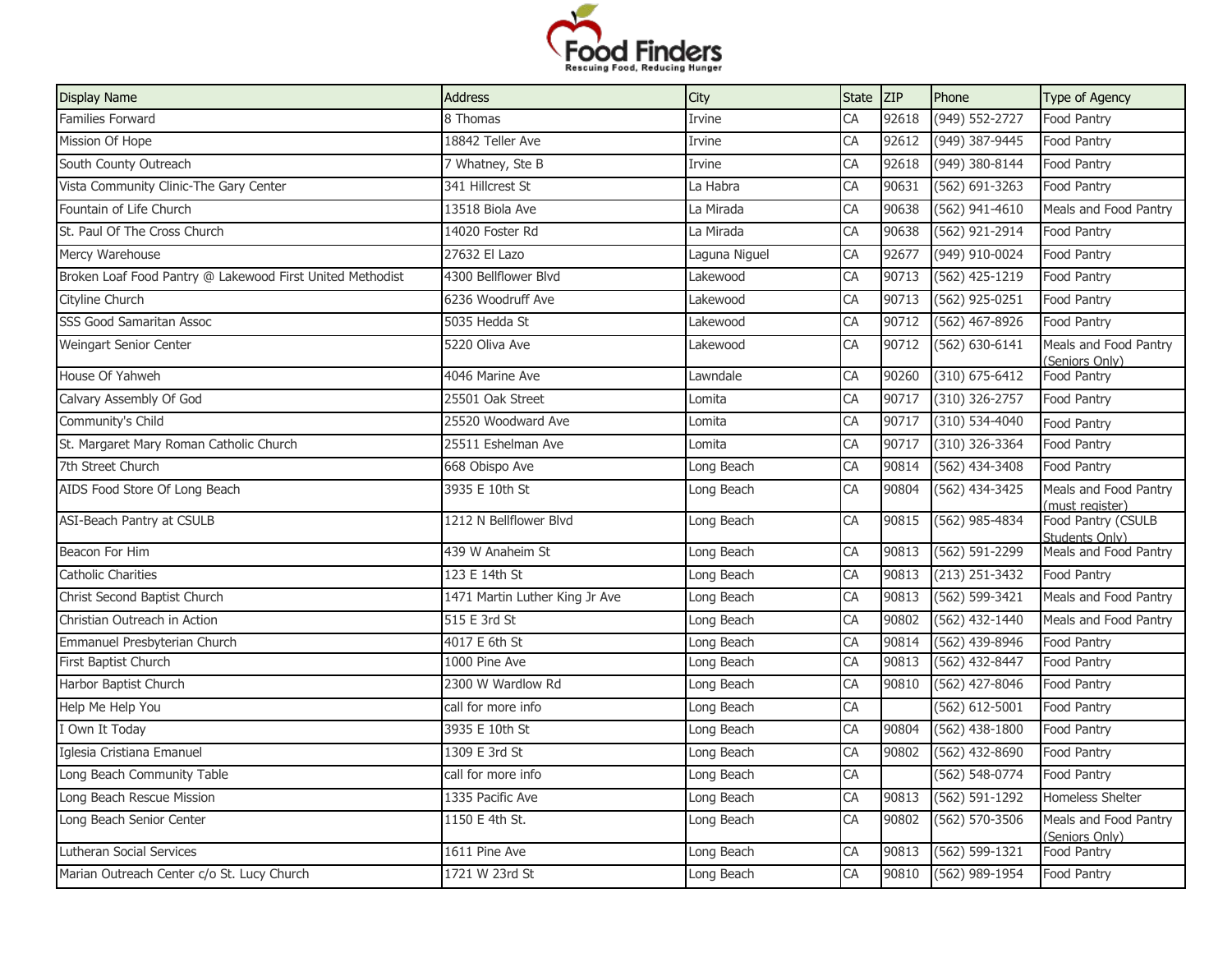

| <b>Display Name</b>                                       | <b>Address</b>                 | City          | <b>State</b> | <b>ZIP</b> | Phone              | Type of Agency                       |
|-----------------------------------------------------------|--------------------------------|---------------|--------------|------------|--------------------|--------------------------------------|
| Families Forward                                          | 8 Thomas                       | Irvine        | CA           | 92618      | (949) 552-2727     | Food Pantry                          |
| Mission Of Hope                                           | 18842 Teller Ave               | Irvine        | CA           | 92612      | (949) 387-9445     | Food Pantry                          |
| South County Outreach                                     | 7 Whatney, Ste B               | Irvine        | CA           | 92618      | (949) 380-8144     | Food Pantry                          |
| Vista Community Clinic-The Gary Center                    | 341 Hillcrest St               | La Habra      | CA           | 90631      | $(562) 691 - 3263$ | Food Pantry                          |
| Fountain of Life Church                                   | 13518 Biola Ave                | La Mirada     | CA           | 90638      | (562) 941-4610     | Meals and Food Pantry                |
| St. Paul Of The Cross Church                              | 14020 Foster Rd                | La Mirada     | CA           | 90638      | $(562)$ 921-2914   | Food Pantry                          |
| Mercy Warehouse                                           | 27632 El Lazo                  | Laguna Niguel | CA           | 92677      | (949) 910-0024     | Food Pantry                          |
| Broken Loaf Food Pantry @ Lakewood First United Methodist | 4300 Bellflower Blvd           | Lakewood      | CA           | 90713      | (562) 425-1219     | Food Pantry                          |
| Cityline Church                                           | 6236 Woodruff Ave              | Lakewood      | CA           | 90713      | (562) 925-0251     | Food Pantry                          |
| SSS Good Samaritan Assoc                                  | 5035 Hedda St                  | Lakewood      | CA           | 90712      | (562) 467-8926     | Food Pantry                          |
| Weingart Senior Center                                    | 5220 Oliva Ave                 | Lakewood      | CA           | 90712      | $(562) 630 - 6141$ | Meals and Food Pantry                |
| House Of Yahweh                                           | 4046 Marine Ave                | Lawndale      | CA           | 90260      | $(310) 675 - 6412$ | (Seniors Only)<br>Food Pantry        |
| Calvary Assembly Of God                                   | 25501 Oak Street               | Lomita        | CA           | 90717      | $(310)$ 326-2757   | Food Pantry                          |
| Community's Child                                         | 25520 Woodward Ave             | Lomita        | CA           | 90717      | $(310) 534 - 4040$ | Food Pantry                          |
| St. Margaret Mary Roman Catholic Church                   | 25511 Eshelman Ave             | Lomita        | CA           | 90717      | $(310)$ 326-3364   | Food Pantry                          |
| 7th Street Church                                         | 668 Obispo Ave                 | Long Beach    | CA           | 90814      | $(562)$ 434-3408   | Food Pantry                          |
| AIDS Food Store Of Long Beach                             | 3935 E 10th St                 | Long Beach    | CA           | 90804      | (562) 434-3425     | Meals and Food Pantry                |
|                                                           |                                |               |              |            |                    | (must register)                      |
| ASI-Beach Pantry at CSULB                                 | 1212 N Bellflower Blvd         | Long Beach    | CA           | 90815      | (562) 985-4834     | Food Pantry (CSULB<br>Students Only) |
| Beacon For Him                                            | 439 W Anaheim St               | Long Beach    | CA           | 90813      | (562) 591-2299     | Meals and Food Pantry                |
| Catholic Charities                                        | 123 E 14th St                  | Long Beach    | CA           | 90813      | $(213)$ 251-3432   | Food Pantry                          |
| Christ Second Baptist Church                              | 1471 Martin Luther King Jr Ave | Long Beach    | CA           | 90813      | (562) 599-3421     | Meals and Food Pantry                |
| Christian Outreach in Action                              | 515 E 3rd St                   | Long Beach    | CA           | 90802      | (562) 432-1440     | Meals and Food Pantry                |
| Emmanuel Presbyterian Church                              | 4017 E 6th St                  | Long Beach    | CA           | 90814      | (562) 439-8946     | Food Pantry                          |
| First Baptist Church                                      | 1000 Pine Ave                  | Long Beach    | CA           | 90813      | (562) 432-8447     | Food Pantry                          |
| Harbor Baptist Church                                     | 2300 W Wardlow Rd              | Long Beach    | CA           | 90810      | (562) 427-8046     | Food Pantry                          |
| Help Me Help You                                          | call for more info             | Long Beach    | CA           |            | $(562) 612 - 5001$ | Food Pantry                          |
| I Own It Today                                            | 3935 E 10th St                 | Long Beach    | CA           | 90804      | (562) 438-1800     | Food Pantry                          |
| Iglesia Cristiana Emanuel                                 | 1309 E 3rd St                  | Long Beach    | CA           | 90802      | (562) 432-8690     | Food Pantry                          |
| Long Beach Community Table                                | call for more info             | Long Beach    | CA           |            | (562) 548-0774     | Food Pantry                          |
| Long Beach Rescue Mission                                 | 1335 Pacific Ave               | Long Beach    | CA           | 90813      | $(562) 591 - 1292$ | Homeless Shelter                     |
| Long Beach Senior Center                                  | 1150 E 4th St.                 | Long Beach    | CA           | 90802      | $(562) 570 - 3506$ | Meals and Food Pantry                |
| Lutheran Social Services                                  | 1611 Pine Ave                  | Long Beach    | CA           | 90813      | $(562) 599 - 1321$ | (Seniors Only)<br>Food Pantry        |
| Marian Outreach Center c/o St. Lucy Church                | 1721 W 23rd St                 | Long Beach    | CA           | 90810      | (562) 989-1954     | Food Pantry                          |
|                                                           |                                |               |              |            |                    |                                      |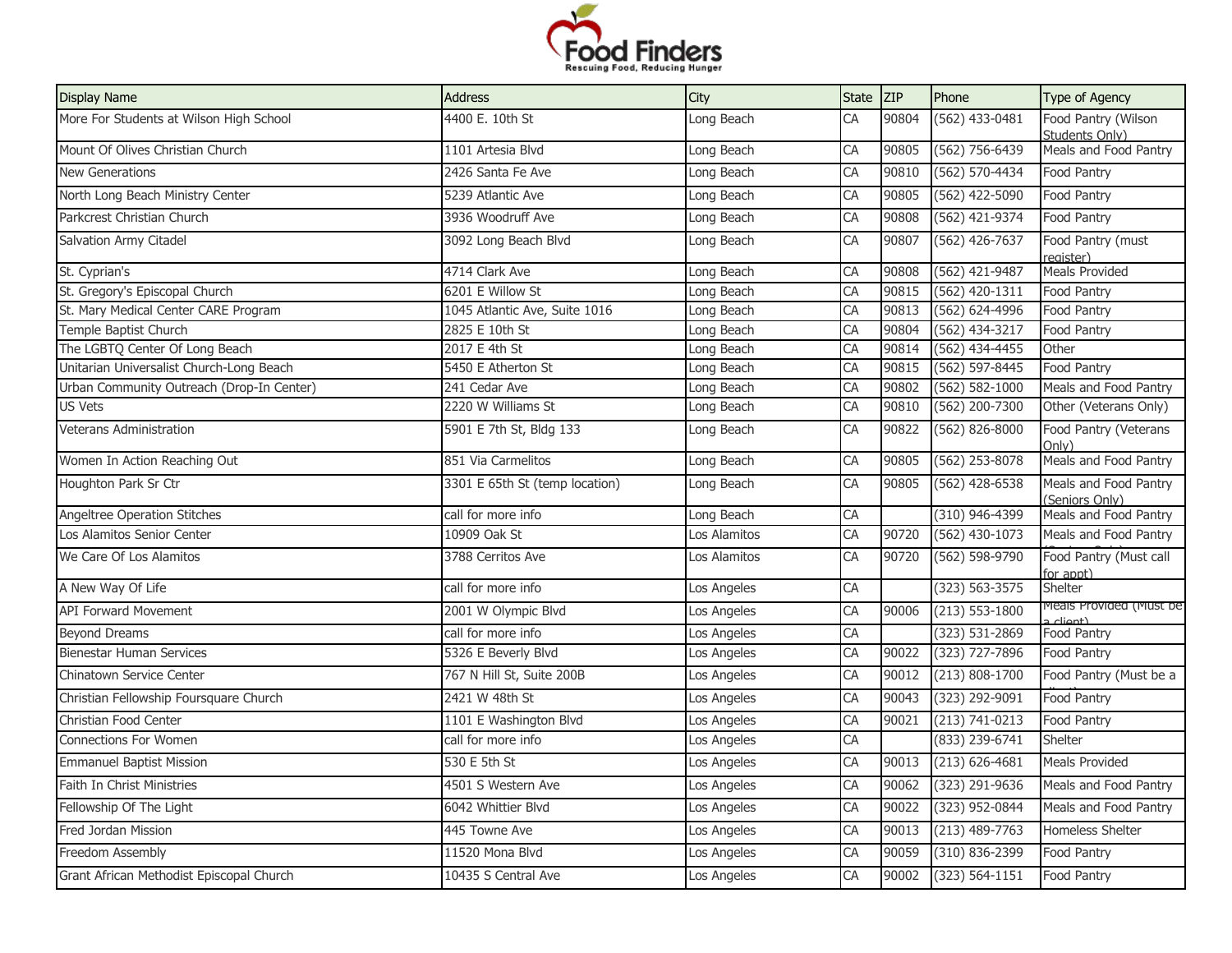

| <b>Display Name</b>                       | <b>Address</b>                 | City         | <b>State</b> | <b>ZIP</b> | Phone              | Type of Agency                          |
|-------------------------------------------|--------------------------------|--------------|--------------|------------|--------------------|-----------------------------------------|
| More For Students at Wilson High School   | 4400 E. 10th St                | Long Beach   | CA           | 90804      | $(562)$ 433-0481   | Food Pantry (Wilson<br>Students Only)   |
| Mount Of Olives Christian Church          | 1101 Artesia Blvd              | Long Beach   | CA           | 90805      | (562) 756-6439     | Meals and Food Pantry                   |
| <b>New Generations</b>                    | 2426 Santa Fe Ave              | Long Beach   | CA           | 90810      | (562) 570-4434     | Food Pantry                             |
| North Long Beach Ministry Center          | 5239 Atlantic Ave              | Long Beach   | CA           | 90805      | (562) 422-5090     | Food Pantry                             |
| Parkcrest Christian Church                | 3936 Woodruff Ave              | Long Beach   | CA           | 90808      | (562) 421-9374     | Food Pantry                             |
| Salvation Army Citadel                    | 3092 Long Beach Blvd           | Long Beach   | CA           | 90807      | $(562)$ 426-7637   | Food Pantry (must<br>register)          |
| St. Cyprian's                             | 4714 Clark Ave                 | Long Beach   | CA           | 90808      | (562) 421-9487     | Meals Provided                          |
| St. Gregory's Episcopal Church            | 6201 E Willow St               | Long Beach   | CA           | 90815      | $(562)$ 420-1311   | Food Pantry                             |
| St. Mary Medical Center CARE Program      | 1045 Atlantic Ave, Suite 1016  | Long Beach   | CA           | 90813      | (562) 624-4996     | Food Pantry                             |
| Temple Baptist Church                     | 2825 E 10th St                 | Long Beach   | CA           | 90804      | (562) 434-3217     | Food Pantry                             |
| The LGBTQ Center Of Long Beach            | 2017 E 4th St                  | Long Beach   | CA           | 90814      | $(562)$ 434-4455   | Other                                   |
| Unitarian Universalist Church-Long Beach  | 5450 E Atherton St             | Long Beach   | CA           | 90815      | $(562) 597 - 8445$ | Food Pantry                             |
| Urban Community Outreach (Drop-In Center) | 241 Cedar Ave                  | Long Beach   | CA           | 90802      | $(562) 582 - 1000$ | Meals and Food Pantry                   |
| US Vets                                   | 2220 W Williams St             | Long Beach   | CA           | 90810      | (562) 200-7300     | Other (Veterans Only)                   |
| Veterans Administration                   | 5901 E 7th St, Bldg 133        | Long Beach   | CA           | 90822      | (562) 826-8000     | Food Pantry (Veterans<br>Only)          |
| Women In Action Reaching Out              | 851 Via Carmelitos             | Long Beach   | CA           | 90805      | $(562)$ 253-8078   | Meals and Food Pantry                   |
| Houghton Park Sr Ctr                      | 3301 E 65th St (temp location) | Long Beach   | CA           | 90805      | (562) 428-6538     | Meals and Food Pantry<br>(Seniors Only) |
| Angeltree Operation Stitches              | call for more info             | Long Beach   | CA           |            | (310) 946-4399     | Meals and Food Pantry                   |
| Los Alamitos Senior Center                | 10909 Oak St                   | Los Alamitos | CA           | 90720      | $(562)$ 430-1073   | Meals and Food Pantry                   |
| We Care Of Los Alamitos                   | 3788 Cerritos Ave              | Los Alamitos | CA           | 90720      | (562) 598-9790     | Food Pantry (Must call<br>for appt)     |
| A New Way Of Life                         | call for more info             | Los Angeles  | CA           |            | $(323) 563 - 3575$ | Shelter                                 |
| <b>API Forward Movement</b>               | 2001 W Olympic Blvd            | Los Angeles  | CA           | 90006      | $(213) 553 - 1800$ | Meals Provided (Must be<br>a cliant)    |
| <b>Beyond Dreams</b>                      | call for more info             | Los Angeles  | CA           |            | $(323) 531 - 2869$ | Food Pantry                             |
| Bienestar Human Services                  | 5326 E Beverly Blvd            | Los Angeles  | CA           | 90022      | (323) 727-7896     | Food Pantry                             |
| <b>Chinatown Service Center</b>           | 767 N Hill St, Suite 200B      | Los Angeles  | CA           | 90012      | $(213) 808 - 1700$ | Food Pantry (Must be a                  |
| Christian Fellowship Foursquare Church    | 2421 W 48th St                 | Los Angeles  | CA           | 90043      | (323) 292-9091     | Food Pantry                             |
| Christian Food Center                     | 1101 E Washington Blvd         | Los Angeles  | CA           | 90021      | $(213) 741 - 0213$ | Food Pantry                             |
| Connections For Women                     | call for more info             | Los Angeles  | CA           |            | (833) 239-6741     | Shelter                                 |
| <b>Emmanuel Baptist Mission</b>           | 530 E 5th St                   | Los Angeles  | CA           | 90013      | $(213) 626 - 4681$ | <b>Meals Provided</b>                   |
| Faith In Christ Ministries                | 4501 S Western Ave             | Los Angeles  | CA           | 90062      | (323) 291-9636     | Meals and Food Pantry                   |
| Fellowship Of The Light                   | 6042 Whittier Blvd             | Los Angeles  | CA           | 90022      | (323) 952-0844     | Meals and Food Pantry                   |
| Fred Jordan Mission                       | 445 Towne Ave                  | Los Angeles  | CA           | 90013      | $(213)$ 489-7763   | Homeless Shelter                        |
| Freedom Assembly                          | 11520 Mona Blvd                | Los Angeles  | CA           | 90059      | (310) 836-2399     | Food Pantry                             |
| Grant African Methodist Episcopal Church  | 10435 S Central Ave            | Los Angeles  | CA           | 90002      | $(323) 564 - 1151$ | Food Pantry                             |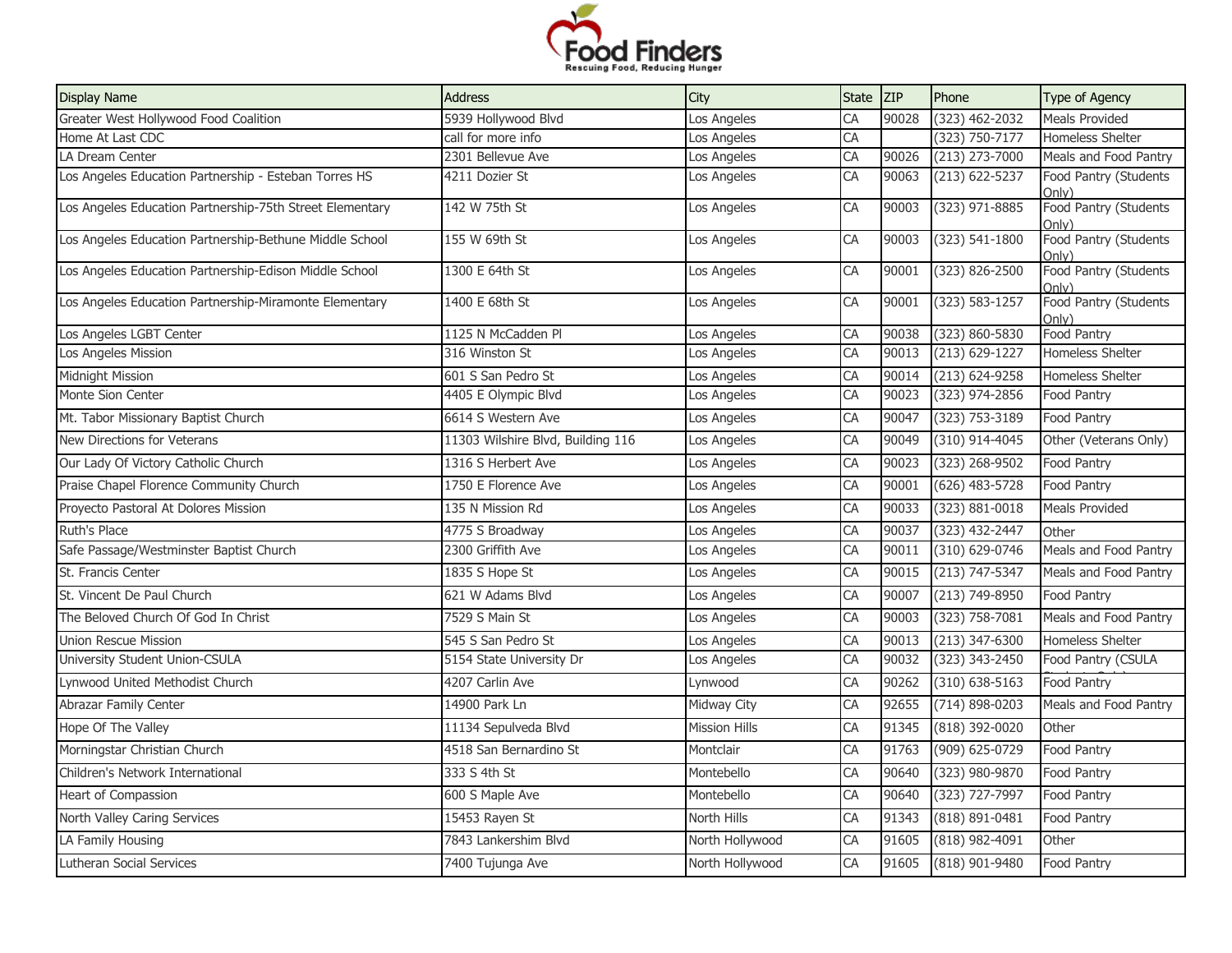

| <b>Display Name</b>                                      | <b>Address</b>                    | City                 | State | <b>ZIP</b> | Phone              | Type of Agency                 |
|----------------------------------------------------------|-----------------------------------|----------------------|-------|------------|--------------------|--------------------------------|
| Greater West Hollywood Food Coalition                    | 5939 Hollywood Blvd               | Los Angeles          | CA    | 90028      | (323) 462-2032     | <b>Meals Provided</b>          |
| Home At Last CDC                                         | call for more info                | Los Angeles          | CA    |            | $(323) 750 - 7177$ | Homeless Shelter               |
| LA Dream Center                                          | 2301 Bellevue Ave                 | Los Angeles          | CA    | 90026      | $(213)$ 273-7000   | Meals and Food Pantry          |
| Los Angeles Education Partnership - Esteban Torres HS    | 4211 Dozier St                    | Los Angeles          | CA    | 90063      | $(213) 622 - 5237$ | Food Pantry (Students<br>Only) |
| Los Angeles Education Partnership-75th Street Elementary | 142 W 75th St                     | Los Angeles          | CA    | 90003      | (323) 971-8885     | Food Pantry (Students<br>Only) |
| Los Angeles Education Partnership-Bethune Middle School  | 155 W 69th St                     | Los Angeles          | CA    | 90003      | $(323) 541 - 1800$ | Food Pantry (Students<br>Only) |
| Los Angeles Education Partnership-Edison Middle School   | 1300 E 64th St                    | Los Angeles          | CA    | 90001      | (323) 826-2500     | Food Pantry (Students<br>Onlv) |
| Los Angeles Education Partnership-Miramonte Elementary   | 1400 E 68th St                    | Los Angeles          | CA    | 90001      | $(323) 583 - 1257$ | Food Pantry (Students<br>Only) |
| Los Angeles LGBT Center                                  | 1125 N McCadden Pl                | Los Angeles          | CA    | 90038      | (323) 860-5830     | Food Pantry                    |
| Los Angeles Mission                                      | 316 Winston St                    | Los Angeles          | CA    | 90013      | $(213) 629 - 1227$ | Homeless Shelter               |
| Midnight Mission                                         | 601 S San Pedro St                | Los Angeles          | CA    | 90014      | $(213)$ 624-9258   | Homeless Shelter               |
| Monte Sion Center                                        | 4405 E Olympic Blvd               | Los Angeles          | CA    | 90023      | (323) 974-2856     | Food Pantry                    |
| Mt. Tabor Missionary Baptist Church                      | 6614 S Western Ave                | Los Angeles          | CA    | 90047      | (323) 753-3189     | Food Pantry                    |
| New Directions for Veterans                              | 11303 Wilshire Blvd, Building 116 | Los Angeles          | CA    | 90049      | (310) 914-4045     | Other (Veterans Only)          |
| Our Lady Of Victory Catholic Church                      | 1316 S Herbert Ave                | Los Angeles          | CA    | 90023      | (323) 268-9502     | Food Pantry                    |
| Praise Chapel Florence Community Church                  | 1750 E Florence Ave               | Los Angeles          | CA    | 90001      | $(626)$ 483-5728   | Food Pantry                    |
| Proyecto Pastoral At Dolores Mission                     | 135 N Mission Rd                  | Los Angeles          | CA    | 90033      | (323) 881-0018     | <b>Meals Provided</b>          |
| Ruth's Place                                             | 4775 S Broadway                   | Los Angeles          | CA    | 90037      | (323) 432-2447     | Other                          |
| Safe Passage/Westminster Baptist Church                  | 2300 Griffith Ave                 | Los Angeles          | CA    | 90011      | (310) 629-0746     | Meals and Food Pantry          |
| St. Francis Center                                       | 1835 S Hope St                    | Los Angeles          | CA    | 90015      | (213) 747-5347     | Meals and Food Pantry          |
| St. Vincent De Paul Church                               | 621 W Adams Blvd                  | Los Angeles          | CA    | 90007      | (213) 749-8950     | Food Pantry                    |
| The Beloved Church Of God In Christ                      | 7529 S Main St                    | Los Angeles          | CA    | 90003      | (323) 758-7081     | Meals and Food Pantry          |
| <b>Union Rescue Mission</b>                              | 545 S San Pedro St                | Los Angeles          | CA    | 90013      | $(213)$ 347-6300   | <b>Homeless Shelter</b>        |
| University Student Union-CSULA                           | 5154 State University Dr          | Los Angeles          | CA    | 90032      | (323) 343-2450     | Food Pantry (CSULA             |
| Lynwood United Methodist Church                          | 4207 Carlin Ave                   | Lynwood              | CA    | 90262      | $(310) 638 - 5163$ | Food Pantry                    |
| Abrazar Family Center                                    | 14900 Park Ln                     | Midway City          | CA    | 92655      | $(714) 898 - 0203$ | Meals and Food Pantry          |
| Hope Of The Valley                                       | 11134 Sepulveda Blvd              | <b>Mission Hills</b> | CA    | 91345      | $(818)$ 392-0020   | Other                          |
| Morningstar Christian Church                             | 4518 San Bernardino St            | Montclair            | CA    | 91763      | (909) 625-0729     | Food Pantry                    |
| Children's Network International                         | 333 S 4th St                      | Montebello           | CA    | 90640      | (323) 980-9870     | Food Pantry                    |
| Heart of Compassion                                      | 600 S Maple Ave                   | Montebello           | CA    | 90640      | (323) 727-7997     | Food Pantry                    |
| North Valley Caring Services                             | 15453 Rayen St                    | North Hills          | CA    | 91343      | (818) 891-0481     | Food Pantry                    |
| LA Family Housing                                        | 7843 Lankershim Blyd              | North Hollywood      | CA    | 91605      | $(818)$ 982-4091   | Other                          |
| Lutheran Social Services                                 | 7400 Tujunga Ave                  | North Hollywood      | CA    | 91605      | (818) 901-9480     | Food Pantry                    |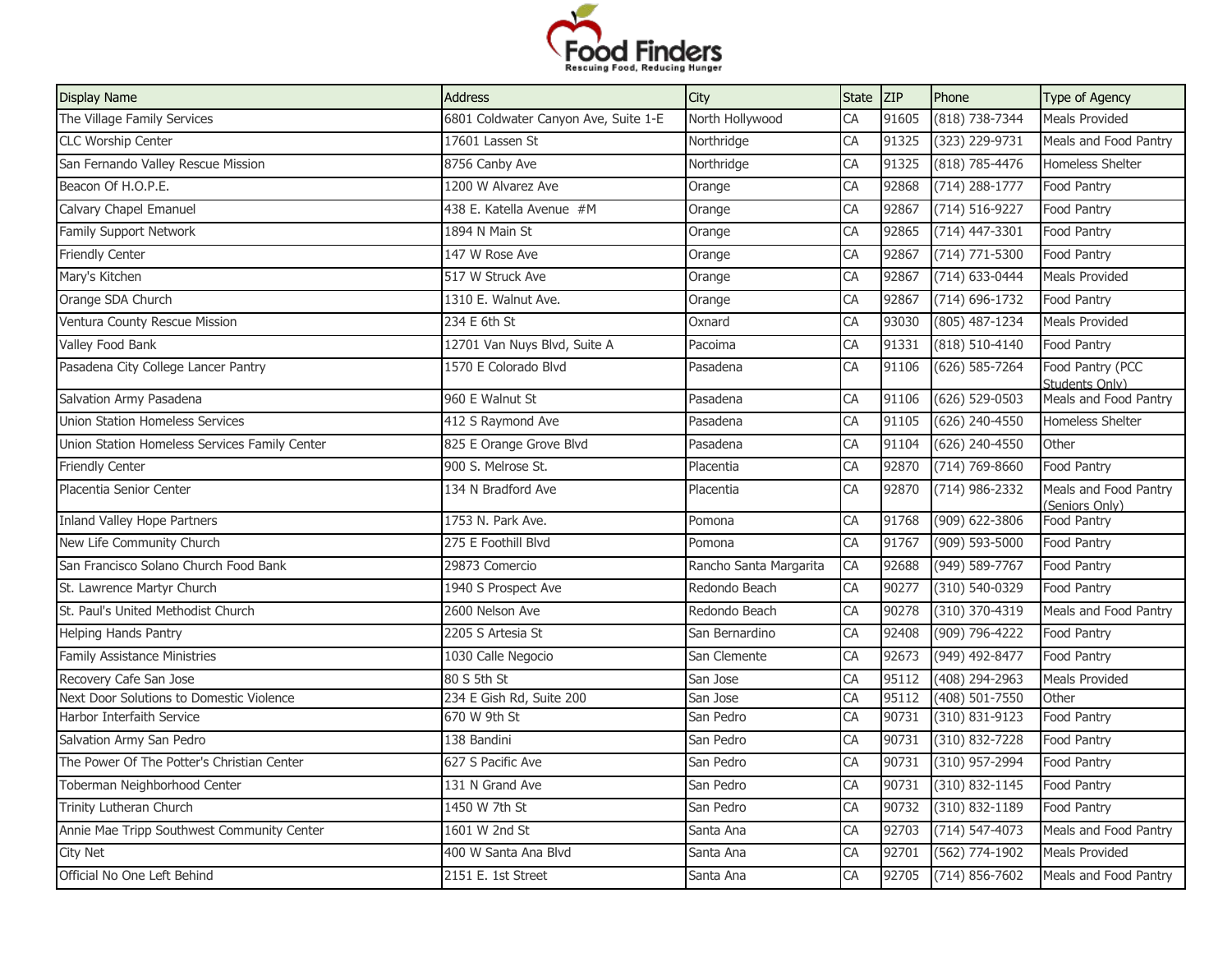

| <b>Display Name</b>                           | <b>Address</b>                       | City                   | State ZIP |       | Phone              | Type of Agency                          |
|-----------------------------------------------|--------------------------------------|------------------------|-----------|-------|--------------------|-----------------------------------------|
| The Village Family Services                   | 6801 Coldwater Canyon Ave, Suite 1-E | North Hollywood        | CA        | 91605 | (818) 738-7344     | Meals Provided                          |
| <b>CLC Worship Center</b>                     | 17601 Lassen St                      | Northridge             | CA        | 91325 | (323) 229-9731     | Meals and Food Pantry                   |
| San Fernando Valley Rescue Mission            | 8756 Canby Ave                       | Northridge             | CA        | 91325 | $(818) 785 - 4476$ | <b>Homeless Shelter</b>                 |
| Beacon Of H.O.P.E.                            | 1200 W Alvarez Ave                   | Orange                 | CA        | 92868 | $(714)$ 288-1777   | Food Pantry                             |
| Calvary Chapel Emanuel                        | 438 E. Katella Avenue #M             | Orange                 | CA        | 92867 | $(714) 516 - 9227$ | Food Pantry                             |
| Family Support Network                        | 1894 N Main St                       | Orange                 | CA        | 92865 | $(714)$ 447-3301   | Food Pantry                             |
| <b>Friendly Center</b>                        | 147 W Rose Ave                       | Orange                 | CA        | 92867 | $(714) 771 - 5300$ | Food Pantry                             |
| Mary's Kitchen                                | 517 W Struck Ave                     | Orange                 | CA        | 92867 | $(714)$ 633-0444   | <b>Meals Provided</b>                   |
| Orange SDA Church                             | 1310 E. Walnut Ave.                  | Orange                 | CA        | 92867 | $(714) 696 - 1732$ | Food Pantry                             |
| Ventura County Rescue Mission                 | 234 E 6th St                         | Oxnard                 | CA        | 93030 | $(805)$ 487-1234   | <b>Meals Provided</b>                   |
| Valley Food Bank                              | 12701 Van Nuys Blvd, Suite A         | Pacoima                | CA        | 91331 | $(818) 510 - 4140$ | Food Pantry                             |
| Pasadena City College Lancer Pantry           | 1570 E Colorado Blvd                 | Pasadena               | CA        | 91106 | $(626) 585 - 7264$ | Food Pantry (PCC<br>Students Only)      |
| Salvation Army Pasadena                       | 960 E Walnut St                      | Pasadena               | CA        | 91106 | $(626) 529 - 0503$ | Meals and Food Pantry                   |
| <b>Union Station Homeless Services</b>        | 412 S Raymond Ave                    | Pasadena               | CA        | 91105 | $(626)$ 240-4550   | <b>Homeless Shelter</b>                 |
| Union Station Homeless Services Family Center | 825 E Orange Grove Blvd              | Pasadena               | CA        | 91104 | $(626)$ 240-4550   | Other                                   |
| <b>Friendly Center</b>                        | 900 S. Melrose St.                   | Placentia              | CA        | 92870 | $(714) 769 - 8660$ | Food Pantry                             |
| Placentia Senior Center                       | 134 N Bradford Ave                   | Placentia              | CA        | 92870 | $(714)$ 986-2332   | Meals and Food Pantry<br>(Seniors Only) |
| Inland Valley Hope Partners                   | 1753 N. Park Ave.                    | Pomona                 | CA        | 91768 | (909) 622-3806     | Food Pantry                             |
| New Life Community Church                     | 275 E Foothill Blvd                  | Pomona                 | CA        | 91767 | $(909) 593 - 5000$ | Food Pantry                             |
| San Francisco Solano Church Food Bank         | 29873 Comercio                       | Rancho Santa Margarita | CA        | 92688 | (949) 589-7767     | Food Pantry                             |
| St. Lawrence Martyr Church                    | 1940 S Prospect Ave                  | Redondo Beach          | CA        | 90277 | (310) 540-0329     | Food Pantry                             |
| St. Paul's United Methodist Church            | 2600 Nelson Ave                      | Redondo Beach          | CA        | 90278 | $(310)$ 370-4319   | Meals and Food Pantry                   |
| <b>Helping Hands Pantry</b>                   | 2205 S Artesia St                    | San Bernardino         | CA        | 92408 | (909) 796-4222     | Food Pantry                             |
| <b>Family Assistance Ministries</b>           | 1030 Calle Negocio                   | San Clemente           | CA        | 92673 | $(949)$ 492-8477   | Food Pantry                             |
| Recovery Cafe San Jose                        | 80 S 5th St                          | San Jose               | CA        | 95112 | $(408)$ 294-2963   | <b>Meals Provided</b>                   |
| Next Door Solutions to Domestic Violence      | 234 E Gish Rd, Suite 200             | San Jose               | CA        | 95112 | $(408) 501 - 7550$ | Other                                   |
| Harbor Interfaith Service                     | 670 W 9th St                         | San Pedro              | CA        | 90731 | $(310) 831 - 9123$ | Food Pantry                             |
| Salvation Army San Pedro                      | 138 Bandini                          | San Pedro              | CA        | 90731 | $(310) 832 - 7228$ | Food Pantry                             |
| The Power Of The Potter's Christian Center    | 627 S Pacific Ave                    | San Pedro              | CA        | 90731 | $(310)$ 957-2994   | Food Pantry                             |
| Toberman Neighborhood Center                  | 131 N Grand Ave                      | San Pedro              | CA        | 90731 | $(310) 832 - 1145$ | Food Pantry                             |
| Trinity Lutheran Church                       | 1450 W 7th St                        | San Pedro              | CA        | 90732 | (310) 832-1189     | Food Pantry                             |
| Annie Mae Tripp Southwest Community Center    | 1601 W 2nd St                        | Santa Ana              | CA        | 92703 | (714) 547-4073     | Meals and Food Pantry                   |
| City Net                                      | 400 W Santa Ana Blvd                 | Santa Ana              | CA        | 92701 | (562) 774-1902     | <b>Meals Provided</b>                   |
| Official No One Left Behind                   | 2151 E. 1st Street                   | Santa Ana              | CA        | 92705 | $(714) 856 - 7602$ | Meals and Food Pantry                   |